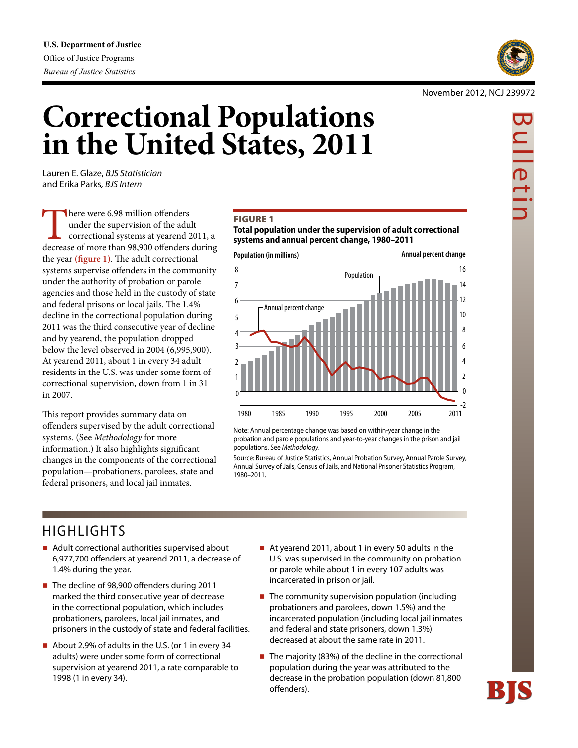

Bulletin

Bulletin<br>Bulletin

#### November 2012, NCJ 239972

# **Correctional Populations in the United States, 2011**

Lauren E. Glaze, *BJS Statistician* and Erika Parks*, BJS Intern*

There were 6.98 million offenders<br>
under the supervision of the adult<br>
correctional systems at yearend 2011, a<br>
decrease of more than 98,900 offenders during under the supervision of the adult correctional systems at yearend 2011, a the year **(figure 1)**. The adult correctional systems supervise offenders in the community under the authority of probation or parole agencies and those held in the custody of state and federal prisons or local jails. The 1.4% decline in the correctional population during 2011 was the third consecutive year of decline and by yearend, the population dropped below the level observed in 2004 (6,995,900). At yearend 2011, about 1 in every 34 adult residents in the U.S. was under some form of correctional supervision, down from 1 in 31 in 2007.

This report provides summary data on offenders supervised by the adult correctional systems. (See *Methodology* for more information.) It also highlights significant changes in the components of the correctional population—probationers, parolees, state and federal prisoners, and local jail inmates.

#### **FIGURE 1**

**Total population under the supervision of adult correctional systems and annual percent change, 1980–2011**



Note: Annual percentage change was based on within-year change in the probation and parole populations and year-to-year changes in the prison and jail populations. See *Methodology*.

Source: Bureau of Justice Statistics, Annual Probation Survey, Annual Parole Survey, Annual Survey of Jails, Census of Jails, and National Prisoner Statistics Program, 1980–2011.

## HIGHLIGHTS

- Adult correctional authorities supervised about 6,977,700 offenders at yearend 2011, a decrease of 1.4% during the year.
- The decline of 98,900 offenders during 2011 marked the third consecutive year of decrease in the correctional population, which includes probationers, parolees, local jail inmates, and prisoners in the custody of state and federal facilities.
- About 2.9% of adults in the U.S. (or 1 in every 34 adults) were under some form of correctional supervision at yearend 2011, a rate comparable to 1998 (1 in every 34).
- At yearend 2011, about 1 in every 50 adults in the U.S. was supervised in the community on probation or parole while about 1 in every 107 adults was incarcerated in prison or jail.
- The community supervision population (including probationers and parolees, down 1.5%) and the incarcerated population (including local jail inmates and federal and state prisoners, down 1.3%) decreased at about the same rate in 2011.
- $\blacksquare$  The majority (83%) of the decline in the correctional population during the year was attributed to the decrease in the probation population (down 81,800 offenders).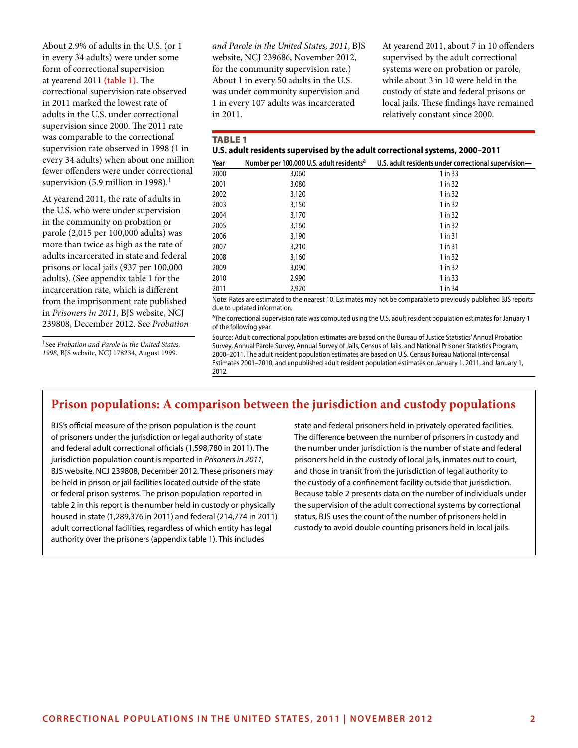About 2.9% of adults in the U.S. (or 1 in every 34 adults) were under some form of correctional supervision at yearend 2011 **(table 1)**. The correctional supervision rate observed in 2011 marked the lowest rate of adults in the U.S. under correctional supervision since 2000. The 2011 rate was comparable to the correctional supervision rate observed in 1998 (1 in every 34 adults) when about one million fewer offenders were under correctional supervision (5.9 million in 1998).<sup>1</sup>

At yearend 2011, the rate of adults in the U.S. who were under supervision in the community on probation or parole (2,015 per 100,000 adults) was more than twice as high as the rate of adults incarcerated in state and federal prisons or local jails (937 per 100,000 adults). (See appendix table 1 for the incarceration rate, which is different from the imprisonment rate published in *Prisoners in 2011*, BJS website, NCJ 239808, December 2012. See *Probation* 

1See *Probation and Parole in the United States, 1998*, BJS website, NCJ 178234, August 1999.

*and Parole in the United States, 2011*, BJS website, NCJ 239686, November 2012, for the community supervision rate.) About 1 in every 50 adults in the U.S. was under community supervision and 1 in every 107 adults was incarcerated in 2011.

At yearend 2011, about 7 in 10 offenders supervised by the adult correctional systems were on probation or parole, while about 3 in 10 were held in the custody of state and federal prisons or local jails. These findings have remained relatively constant since 2000.

#### **TABLE 1**

**U.S. adult residents supervised by the adult correctional systems, 2000–2011**

| Year | Number per 100,000 U.S. adult residents <sup>a</sup> | U.S. adult residents under correctional supervision- |
|------|------------------------------------------------------|------------------------------------------------------|
| 2000 | 3,060                                                | 1 in 33                                              |
| 2001 | 3,080                                                | 1 in 32                                              |
| 2002 | 3,120                                                | 1 in 32                                              |
| 2003 | 3,150                                                | 1 in 32                                              |
| 2004 | 3,170                                                | 1 in 32                                              |
| 2005 | 3,160                                                | 1 in 32                                              |
| 2006 | 3,190                                                | 1 in 31                                              |
| 2007 | 3,210                                                | 1 in 31                                              |
| 2008 | 3,160                                                | 1 in 32                                              |
| 2009 | 3,090                                                | 1 in 32                                              |
| 2010 | 2,990                                                | 1 in 33                                              |
| 2011 | 2,920                                                | 1 in 34                                              |

Note: Rates are estimated to the nearest 10. Estimates may not be comparable to previously published BJS reports due to updated information.

aThe correctional supervision rate was computed using the U.S. adult resident population estimates for January 1 of the following year.

Source: Adult correctional population estimates are based on the Bureau of Justice Statistics' Annual Probation Survey, Annual Parole Survey, Annual Survey of Jails, Census of Jails, and National Prisoner Statistics Program, 2000–2011. The adult resident population estimates are based on U.S. Census Bureau National Intercensal Estimates 2001–2010, and unpublished adult resident population estimates on January 1, 2011, and January 1, 2012.

### **Prison populations: A comparison between the jurisdiction and custody populations**

BJS's official measure of the prison population is the count of prisoners under the jurisdiction or legal authority of state and federal adult correctional officials (1,598,780 in 2011). The jurisdiction population count is reported in *Prisoners in 2011*, BJS website, NCJ 239808, December 2012. These prisoners may be held in prison or jail facilities located outside of the state or federal prison systems. The prison population reported in table 2 in this report is the number held in custody or physically housed in state (1,289,376 in 2011) and federal (214,774 in 2011) adult correctional facilities, regardless of which entity has legal authority over the prisoners (appendix table 1). This includes

state and federal prisoners held in privately operated facilities. The difference between the number of prisoners in custody and the number under jurisdiction is the number of state and federal prisoners held in the custody of local jails, inmates out to court, and those in transit from the jurisdiction of legal authority to the custody of a confinement facility outside that jurisdiction. Because table 2 presents data on the number of individuals under the supervision of the adult correctional systems by correctional status, BJS uses the count of the number of prisoners held in custody to avoid double counting prisoners held in local jails.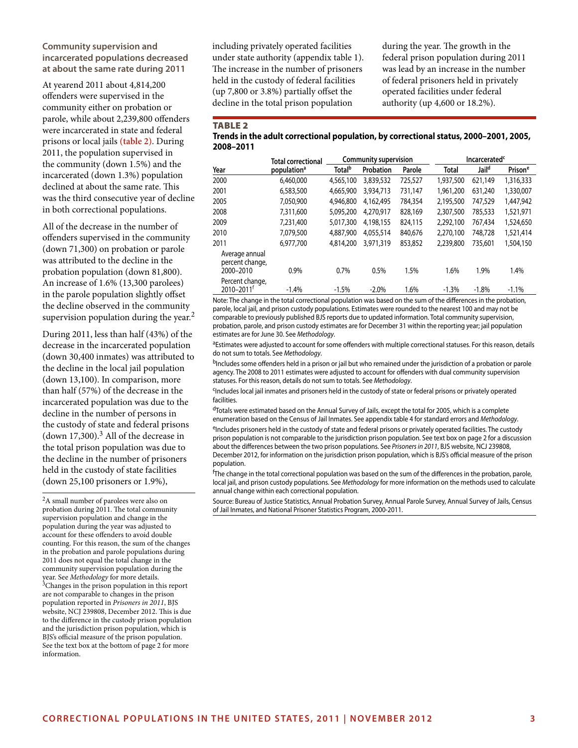#### **Community supervision and incarcerated populations decreased at about the same rate during 2011**

At yearend 2011 about 4,814,200 offenders were supervised in the community either on probation or parole, while about 2,239,800 offenders were incarcerated in state and federal prisons or local jails **(table 2)**. During 2011, the population supervised in the community (down 1.5%) and the incarcerated (down 1.3%) population declined at about the same rate. This was the third consecutive year of decline in both correctional populations.

All of the decrease in the number of offenders supervised in the community (down 71,300) on probation or parole was attributed to the decline in the probation population (down 81,800). An increase of 1.6% (13,300 parolees) in the parole population slightly offset the decline observed in the community supervision population during the year. $<sup>2</sup>$ </sup>

During 2011, less than half (43%) of the decrease in the incarcerated population (down 30,400 inmates) was attributed to the decline in the local jail population (down 13,100). In comparison, more than half (57%) of the decrease in the incarcerated population was due to the decline in the number of persons in the custody of state and federal prisons (down 17,300). $3$  All of the decrease in the total prison population was due to the decline in the number of prisoners held in the custody of state facilities (down 25,100 prisoners or 1.9%),

2A small number of parolees were also on probation during 2011. The total community supervision population and change in the population during the year was adjusted to account for these offenders to avoid double counting. For this reason, the sum of the changes in the probation and parole populations during 2011 does not equal the total change in the community supervision population during the year. See *Methodology* for more details. 3Changes in the prison population in this report are not comparable to changes in the prison population reported in *Prisoners in 2011*, BJS website, NCJ 239808, December 2012. This is due to the difference in the custody prison population and the jurisdiction prison population, which is BJS's official measure of the prison population. See the text box at the bottom of page 2 for more information.

including privately operated facilities under state authority (appendix table 1). The increase in the number of prisoners held in the custody of federal facilities (up 7,800 or 3.8%) partially offset the decline in the total prison population

during the year. The growth in the federal prison population during 2011 was lead by an increase in the number of federal prisoners held in privately operated facilities under federal authority (up 4,600 or 18.2%).

#### TABLE<sub>2</sub>

| Trends in the adult correctional population, by correctional status, 2000-2001, 2005, |  |
|---------------------------------------------------------------------------------------|--|
| 2008-2011                                                                             |  |

|                                                | <b>Total correctional</b> | <b>Community supervision</b> |           |         |              | Incarcerated <sup>c</sup> |                     |  |
|------------------------------------------------|---------------------------|------------------------------|-----------|---------|--------------|---------------------------|---------------------|--|
| Year                                           | population <sup>a</sup>   | <b>Total</b> <sup>b</sup>    | Probation | Parole  | <b>Total</b> | Jail <sup>d</sup>         | Prison <sup>e</sup> |  |
| 2000                                           | 6,460,000                 | 4,565,100                    | 3,839,532 | 725,527 | 1,937,500    | 621.149                   | 1,316,333           |  |
| 2001                                           | 6,583,500                 | 4,665,900                    | 3,934,713 | 731,147 | 1,961,200    | 631,240                   | 1,330,007           |  |
| 2005                                           | 7.050.900                 | 4,946,800                    | 4,162,495 | 784,354 | 2,195,500    | 747.529                   | 1,447,942           |  |
| 2008                                           | 7,311,600                 | 5,095,200                    | 4.270,917 | 828.169 | 2,307,500    | 785.533                   | 1,521,971           |  |
| 2009                                           | 7,231,400                 | 5,017,300                    | 4,198,155 | 824,115 | 2,292,100    | 767,434                   | 1,524,650           |  |
| 2010                                           | 7.079.500                 | 4,887,900                    | 4,055,514 | 840,676 | 2,270,100    | 748.728                   | 1,521,414           |  |
| 2011                                           | 6,977,700                 | 4,814,200                    | 3,971,319 | 853,852 | 2,239,800    | 735.601                   | 1,504,150           |  |
| Average annual<br>percent change,<br>2000-2010 | 0.9%                      | 0.7%                         | 0.5%      | 1.5%    | 1.6%         | 1.9%                      | 1.4%                |  |
| Percent change,<br>2010-2011 <sup>f</sup>      | $-1.4%$                   | $-1.5%$                      | $-2.0%$   | 1.6%    | $-1.3%$      | $-1.8%$                   | $-1.1%$             |  |

Note: The change in the total correctional population was based on the sum of the differences in the probation, parole, local jail, and prison custody populations. Estimates were rounded to the nearest 100 and may not be comparable to previously published BJS reports due to updated information. Total community supervision, probation, parole, and prison custody estimates are for December 31 within the reporting year; jail population estimates are for June 30. See *Methodology*.

aEstimates were adjusted to account for some offenders with multiple correctional statuses. For this reason, details do not sum to totals. See *Methodology*.

<sup>b</sup>Includes some offenders held in a prison or jail but who remained under the jurisdiction of a probation or parole agency. The 2008 to 2011 estimates were adjusted to account for offenders with dual community supervision statuses. For this reason, details do not sum to totals. See *Methodology*.

<sup>c</sup>Includes local jail inmates and prisoners held in the custody of state or federal prisons or privately operated facilities.

dTotals were estimated based on the Annual Survey of Jails, except the total for 2005, which is a complete enumeration based on the Census of Jail Inmates. See appendix table 4 for standard errors and *Methodology*.

eIncludes prisoners held in the custody of state and federal prisons or privately operated facilities. The custody prison population is not comparable to the jurisdiction prison population. See text box on page 2 for a discussion about the differences between the two prison populations. See *Prisoners in 2011*, BJS website, NCJ 239808, December 2012, for information on the jurisdiction prison population, which is BJS's official measure of the prison population.

<sup>f</sup>The change in the total correctional population was based on the sum of the differences in the probation, parole, local jail, and prison custody populations. See *Methodology* for more information on the methods used to calculate annual change within each correctional population.

Source: Bureau of Justice Statistics, Annual Probation Survey, Annual Parole Survey, Annual Survey of Jails, Census of Jail Inmates, and National Prisoner Statistics Program, 2000-2011.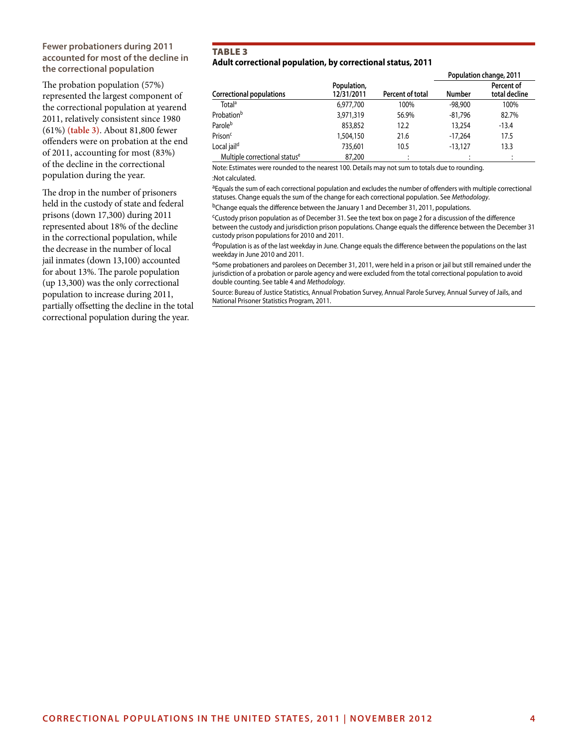#### **Fewer probationers during 2011 accounted for most of the decline in the correctional population**

The probation population (57%) represented the largest component of the correctional population at yearend 2011, relatively consistent since 1980 (61%) **(table 3)**. About 81,800 fewer offenders were on probation at the end of 2011, accounting for most (83%) of the decline in the correctional population during the year.

The drop in the number of prisoners held in the custody of state and federal prisons (down 17,300) during 2011 represented about 18% of the decline in the correctional population, while the decrease in the number of local jail inmates (down 13,100) accounted for about 13%. The parole population (up 13,300) was the only correctional population to increase during 2011, partially offsetting the decline in the total correctional population during the year.

#### TABLE<sub>3</sub> **Adult correctional population, by correctional status, 2011**

|                                           |                           |                  | Population change, 2011 |                             |  |
|-------------------------------------------|---------------------------|------------------|-------------------------|-----------------------------|--|
| <b>Correctional populations</b>           | Population,<br>12/31/2011 | Percent of total | <b>Number</b>           | Percent of<br>total decline |  |
| Total <sup>a</sup>                        | 6,977,700                 | 100%             | $-98,900$               | 100%                        |  |
| Probation <sup>b</sup>                    | 3,971,319                 | 56.9%            | $-81.796$               | 82.7%                       |  |
| Parole <sup>b</sup>                       | 853,852                   | 12.2             | 13,254                  | $-13.4$                     |  |
| Prison <sup>c</sup>                       | 1,504,150                 | 21.6             | $-17.264$               | 17.5                        |  |
| Local jail <sup>d</sup>                   | 735,601                   | 10.5             | $-13.127$               | 13.3                        |  |
| Multiple correctional status <sup>e</sup> | 87,200                    | ٠                |                         | ٠                           |  |

Note: Estimates were rounded to the nearest 100. Details may not sum to totals due to rounding. :Not calculated.

aEquals the sum of each correctional population and excludes the number of offenders with multiple correctional statuses. Change equals the sum of the change for each correctional population. See *Methodology*.

bChange equals the difference between the January 1 and December 31, 2011, populations.

cCustody prison population as of December 31. See the text box on page 2 for a discussion of the difference between the custody and jurisdiction prison populations. Change equals the difference between the December 31 custody prison populations for 2010 and 2011.

dPopulation is as of the last weekday in June. Change equals the difference between the populations on the last weekday in June 2010 and 2011.

eSome probationers and parolees on December 31, 2011, were held in a prison or jail but still remained under the jurisdiction of a probation or parole agency and were excluded from the total correctional population to avoid double counting. See table 4 and *Methodology*.

Source: Bureau of Justice Statistics, Annual Probation Survey, Annual Parole Survey, Annual Survey of Jails, and National Prisoner Statistics Program, 2011.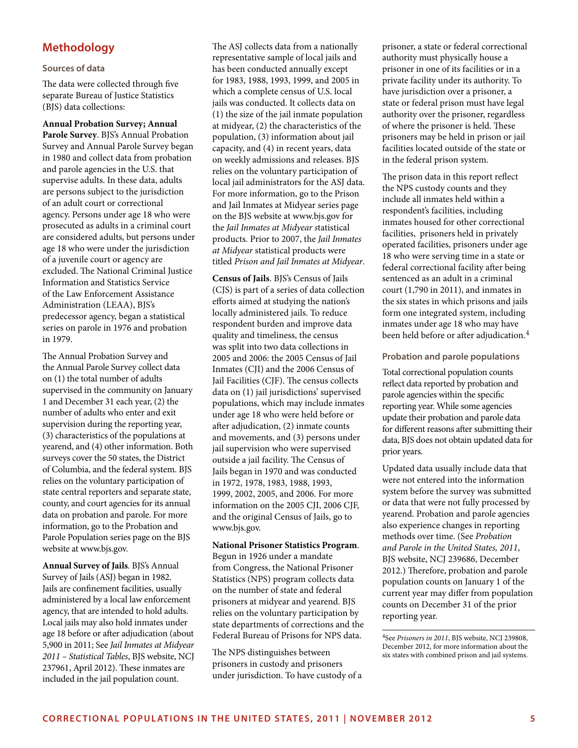#### **Sources of data**

The data were collected through five separate Bureau of Justice Statistics (BJS) data collections:

**Annual Probation Survey; Annual Parole Survey**. BJS's Annual Probation Survey and Annual Parole Survey began in 1980 and collect data from probation and parole agencies in the U.S. that supervise adults. In these data, adults are persons subject to the jurisdiction of an adult court or correctional agency. Persons under age 18 who were prosecuted as adults in a criminal court are considered adults, but persons under age 18 who were under the jurisdiction of a juvenile court or agency are excluded. The National Criminal Justice Information and Statistics Service of the Law Enforcement Assistance Administration (LEAA), BJS's predecessor agency, began a statistical series on parole in 1976 and probation in 1979.

The Annual Probation Survey and the Annual Parole Survey collect data on (1) the total number of adults supervised in the community on January 1 and December 31 each year, (2) the number of adults who enter and exit supervision during the reporting year, (3) characteristics of the populations at yearend, and (4) other information. Both surveys cover the 50 states, the District of Columbia, and the federal system. BJS relies on the voluntary participation of state central reporters and separate state, county, and court agencies for its annual data on probation and parole. For more information, go to the Probation and Parole Population series page on the BJS website at www.bjs.gov.

**Annual Survey of Jails**. BJS's Annual Survey of Jails (ASJ) began in 1982. Jails are confinement facilities, usually administered by a local law enforcement agency, that are intended to hold adults. Local jails may also hold inmates under age 18 before or after adjudication (about 5,900 in 2011; See *Jail Inmates at Midyear 2011 – Statistical Tables*, BJS website, NCJ 237961, April 2012). These inmates are included in the jail population count.

The ASJ collects data from a nationally representative sample of local jails and has been conducted annually except for 1983, 1988, 1993, 1999, and 2005 in which a complete census of U.S. local jails was conducted. It collects data on (1) the size of the jail inmate population at midyear, (2) the characteristics of the population, (3) information about jail capacity, and (4) in recent years, data on weekly admissions and releases. BJS relies on the voluntary participation of local jail administrators for the ASJ data. For more information, go to the Prison and Jail Inmates at Midyear series page on the BJS website at www.bjs.gov for the *Jail Inmates at Midyear s*tatistical products. Prior to 2007, the *Jail Inmates at Midyear* statistical products were titled *Prison and Jail Inmates at Midyear*.

**Census of Jails**. BJS's Census of Jails (CJS) is part of a series of data collection efforts aimed at studying the nation's locally administered jails. To reduce respondent burden and improve data quality and timeliness, the census was split into two data collections in 2005 and 2006: the 2005 Census of Jail Inmates (CJI) and the 2006 Census of Jail Facilities (CJF). The census collects data on (1) jail jurisdictions' supervised populations, which may include inmates under age 18 who were held before or after adjudication, (2) inmate counts and movements, and (3) persons under jail supervision who were supervised outside a jail facility. The Census of Jails began in 1970 and was conducted in 1972, 1978, 1983, 1988, 1993, 1999, 2002, 2005, and 2006. For more information on the 2005 CJI, 2006 CJF, and the original Census of Jails, go to www.bjs.gov.

**National Prisoner Statistics Program**. Begun in 1926 under a mandate from Congress, the National Prisoner Statistics (NPS) program collects data on the number of state and federal prisoners at midyear and yearend. BJS relies on the voluntary participation by state departments of corrections and the Federal Bureau of Prisons for NPS data.

The NPS distinguishes between prisoners in custody and prisoners under jurisdiction. To have custody of a

prisoner, a state or federal correctional authority must physically house a prisoner in one of its facilities or in a private facility under its authority. To have jurisdiction over a prisoner, a state or federal prison must have legal authority over the prisoner, regardless of where the prisoner is held. These prisoners may be held in prison or jail facilities located outside of the state or in the federal prison system.

The prison data in this report reflect the NPS custody counts and they include all inmates held within a respondent's facilities, including inmates housed for other correctional facilities, prisoners held in privately operated facilities, prisoners under age 18 who were serving time in a state or federal correctional facility after being sentenced as an adult in a criminal court (1,790 in 2011), and inmates in the six states in which prisons and jails form one integrated system, including inmates under age 18 who may have been held before or after adjudication.4

#### **Probation and parole populations**

Total correctional population counts reflect data reported by probation and parole agencies within the specific reporting year. While some agencies update their probation and parole data for different reasons after submitting their data, BJS does not obtain updated data for prior years.

Updated data usually include data that were not entered into the information system before the survey was submitted or data that were not fully processed by yearend. Probation and parole agencies also experience changes in reporting methods over time. (See *Probation and Parole in the United States, 2011*, BJS website, NCJ 239686, December 2012.) Therefore, probation and parole population counts on January 1 of the current year may differ from population counts on December 31 of the prior reporting year.

4See *Prisoners in 2011*, BJS website, NCJ 239808, December 2012, for more information about the six states with combined prison and jail systems.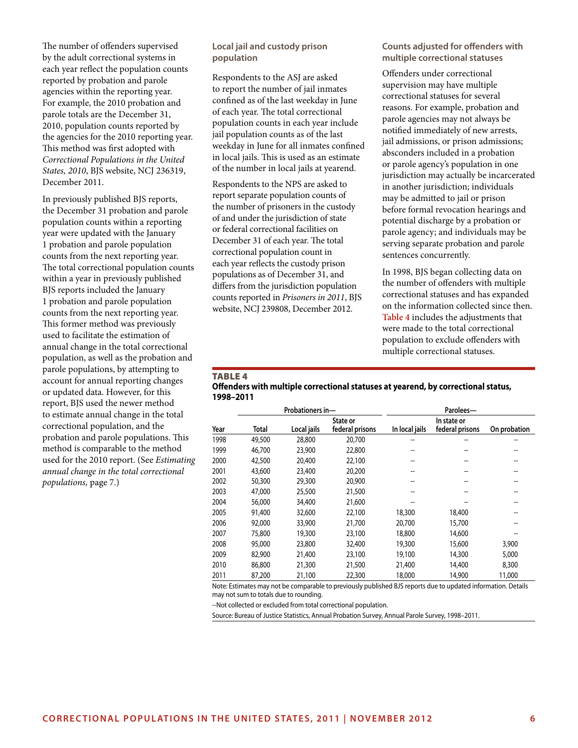The number of offenders supervised by the adult correctional systems in each year reflect the population counts reported by probation and parole agencies within the reporting year. For example, the 2010 probation and parole totals are the December 31, 2010, population counts reported by the agencies for the 2010 reporting year. This method was first adopted with *Correctional Populations in the United States, 2010*, BJS website, NCJ 236319, December 2011.

In previously published BJS reports, the December 31 probation and parole population counts within a reporting year were updated with the January 1 probation and parole population counts from the next reporting year. The total correctional population counts within a year in previously published BJS reports included the January 1 probation and parole population counts from the next reporting year. This former method was previously used to facilitate the estimation of annual change in the total correctional population, as well as the probation and parole populations, by attempting to account for annual reporting changes or updated data. However, for this report, BJS used the newer method to estimate annual change in the total correctional population, and the probation and parole populations. This method is comparable to the method used for the 2010 report. (See *Estimating annual change in the total correctional populations,* page 7.)

#### **Local jail and custody prison population**

Respondents to the ASJ are asked to report the number of jail inmates confined as of the last weekday in June of each year. The total correctional population counts in each year include jail population counts as of the last weekday in June for all inmates confined in local jails. This is used as an estimate of the number in local jails at yearend.

Respondents to the NPS are asked to report separate population counts of the number of prisoners in the custody of and under the jurisdiction of state or federal correctional facilities on December 31 of each year. The total correctional population count in each year reflects the custody prison populations as of December 31, and differs from the jurisdiction population counts reported in *Prisoners in 2011*, BJS website, NCJ 239808, December 2012.

#### **Counts adjusted for offenders with multiple correctional statuses**

Offenders under correctional supervision may have multiple correctional statuses for several reasons. For example, probation and parole agencies may not always be notified immediately of new arrests, jail admissions, or prison admissions; absconders included in a probation or parole agency's population in one jurisdiction may actually be incarcerated in another jurisdiction; individuals may be admitted to jail or prison before formal revocation hearings and potential discharge by a probation or parole agency; and individuals may be serving separate probation and parole sentences concurrently.

In 1998, BJS began collecting data on the number of offenders with multiple correctional statuses and has expanded on the information collected since then. **Table 4** includes the adjustments that were made to the total correctional population to exclude offenders with multiple correctional statuses.

#### **TABLE 4**

| Offenders with multiple correctional statuses at yearend, by correctional status, |  |
|-----------------------------------------------------------------------------------|--|
| 1998–2011                                                                         |  |

|      |        | Probationers in- |                             |                | Parolees-                      |              |  |  |
|------|--------|------------------|-----------------------------|----------------|--------------------------------|--------------|--|--|
| Year | Total  | Local jails      | State or<br>federal prisons | In local jails | In state or<br>federal prisons | On probation |  |  |
| 1998 | 49,500 | 28,800           | 20,700                      |                | --                             |              |  |  |
| 1999 | 46,700 | 23,900           | 22,800                      |                | --                             |              |  |  |
| 2000 | 42,500 | 20,400           | 22,100                      | --             | --                             |              |  |  |
| 2001 | 43,600 | 23,400           | 20,200                      |                | --                             |              |  |  |
| 2002 | 50,300 | 29,300           | 20,900                      |                | --                             |              |  |  |
| 2003 | 47,000 | 25,500           | 21,500                      |                | --                             |              |  |  |
| 2004 | 56,000 | 34,400           | 21,600                      |                |                                |              |  |  |
| 2005 | 91,400 | 32,600           | 22,100                      | 18,300         | 18,400                         |              |  |  |
| 2006 | 92,000 | 33,900           | 21,700                      | 20,700         | 15,700                         |              |  |  |
| 2007 | 75,800 | 19,300           | 23,100                      | 18,800         | 14,600                         |              |  |  |
| 2008 | 95,000 | 23,800           | 32,400                      | 19,300         | 15,600                         | 3,900        |  |  |
| 2009 | 82,900 | 21,400           | 23,100                      | 19,100         | 14,300                         | 5,000        |  |  |
| 2010 | 86,800 | 21,300           | 21,500                      | 21,400         | 14,400                         | 8,300        |  |  |
| 2011 | 87,200 | 21,100           | 22,300                      | 18,000         | 14,900                         | 11,000       |  |  |

Note: Estimates may not be comparable to previously published BJS reports due to updated information. Details may not sum to totals due to rounding.

--Not collected or excluded from total correctional population.

Source: Bureau of Justice Statistics, Annual Probation Survey, Annual Parole Survey, 1998–2011.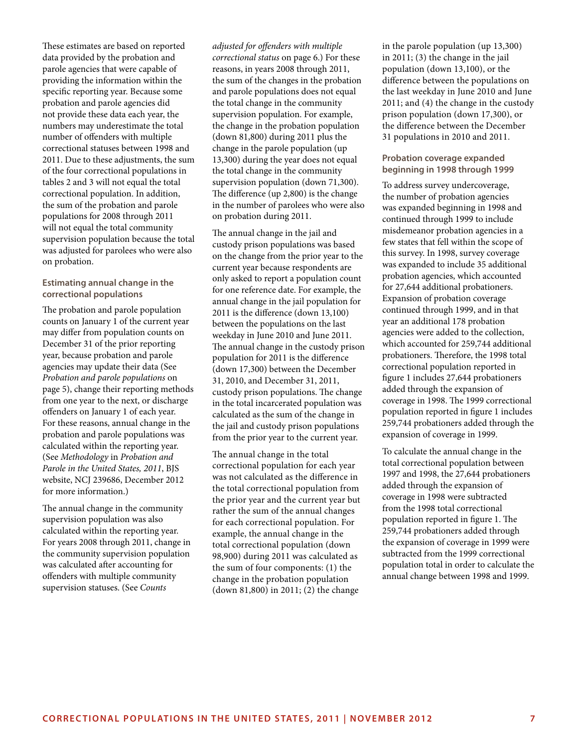These estimates are based on reported data provided by the probation and parole agencies that were capable of providing the information within the specific reporting year. Because some probation and parole agencies did not provide these data each year, the numbers may underestimate the total number of offenders with multiple correctional statuses between 1998 and 2011. Due to these adjustments, the sum of the four correctional populations in tables 2 and 3 will not equal the total correctional population. In addition, the sum of the probation and parole populations for 2008 through 2011 will not equal the total community supervision population because the total was adjusted for parolees who were also on probation.

#### **Estimating annual change in the correctional populations**

The probation and parole population counts on January 1 of the current year may differ from population counts on December 31 of the prior reporting year, because probation and parole agencies may update their data (See *Probation and parole populations* on page 5), change their reporting methods from one year to the next, or discharge offenders on January 1 of each year. For these reasons, annual change in the probation and parole populations was calculated within the reporting year. (See *Methodology* in *Probation and Parole in the United States, 2011*, BJS website, NCJ 239686, December 2012 for more information.)

The annual change in the community supervision population was also calculated within the reporting year. For years 2008 through 2011, change in the community supervision population was calculated after accounting for offenders with multiple community supervision statuses. (See *Counts* 

*adjusted for offenders with multiple correctional status* on page 6.) For these reasons, in years 2008 through 2011, the sum of the changes in the probation and parole populations does not equal the total change in the community supervision population. For example, the change in the probation population (down 81,800) during 2011 plus the change in the parole population (up 13,300) during the year does not equal the total change in the community supervision population (down 71,300). The difference (up 2,800) is the change in the number of parolees who were also on probation during 2011.

The annual change in the jail and custody prison populations was based on the change from the prior year to the current year because respondents are only asked to report a population count for one reference date. For example, the annual change in the jail population for 2011 is the difference (down 13,100) between the populations on the last weekday in June 2010 and June 2011. The annual change in the custody prison population for 2011 is the difference (down 17,300) between the December 31, 2010, and December 31, 2011, custody prison populations. The change in the total incarcerated population was calculated as the sum of the change in the jail and custody prison populations from the prior year to the current year.

The annual change in the total correctional population for each year was not calculated as the difference in the total correctional population from the prior year and the current year but rather the sum of the annual changes for each correctional population. For example, the annual change in the total correctional population (down 98,900) during 2011 was calculated as the sum of four components: (1) the change in the probation population (down 81,800) in 2011; (2) the change

in the parole population (up 13,300) in 2011; (3) the change in the jail population (down 13,100), or the difference between the populations on the last weekday in June 2010 and June 2011; and (4) the change in the custody prison population (down 17,300), or the difference between the December 31 populations in 2010 and 2011.

#### **Probation coverage expanded beginning in 1998 through 1999**

To address survey undercoverage, the number of probation agencies was expanded beginning in 1998 and continued through 1999 to include misdemeanor probation agencies in a few states that fell within the scope of this survey. In 1998, survey coverage was expanded to include 35 additional probation agencies, which accounted for 27,644 additional probationers. Expansion of probation coverage continued through 1999, and in that year an additional 178 probation agencies were added to the collection, which accounted for 259,744 additional probationers. Therefore, the 1998 total correctional population reported in figure 1 includes 27,644 probationers added through the expansion of coverage in 1998. The 1999 correctional population reported in figure 1 includes 259,744 probationers added through the expansion of coverage in 1999.

To calculate the annual change in the total correctional population between 1997 and 1998, the 27,644 probationers added through the expansion of coverage in 1998 were subtracted from the 1998 total correctional population reported in figure 1. The 259,744 probationers added through the expansion of coverage in 1999 were subtracted from the 1999 correctional population total in order to calculate the annual change between 1998 and 1999.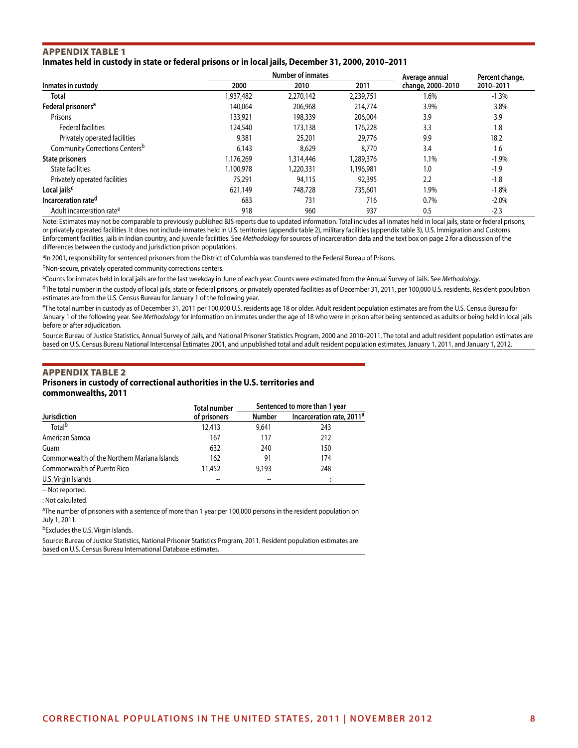#### Appendix Table 1 **Inmates held in custody in state or federal prisons or in local jails, December 31, 2000, 2010–2011**

|                                            | <b>Number of inmates</b> |           |           | Average annual    | Percent change, |
|--------------------------------------------|--------------------------|-----------|-----------|-------------------|-----------------|
| Inmates in custody                         | 2000                     | 2010      | 2011      | change, 2000-2010 | 2010-2011       |
| Total                                      | 1,937,482                | 2,270,142 | 2,239,751 | 1.6%              | $-1.3%$         |
| Federal prisoners <sup>a</sup>             | 140,064                  | 206,968   | 214,774   | 3.9%              | 3.8%            |
| Prisons                                    | 133,921                  | 198.339   | 206,004   | 3.9               | 3.9             |
| <b>Federal facilities</b>                  | 124,540                  | 173,138   | 176,228   | 3.3               | 1.8             |
| Privately operated facilities              | 9,381                    | 25,201    | 29,776    | 9.9               | 18.2            |
| Community Corrections Centers <sup>b</sup> | 6.143                    | 8,629     | 8,770     | 3.4               | 1.6             |
| <b>State prisoners</b>                     | 1.176.269                | 1,314,446 | 1.289.376 | 1.1%              | $-1.9%$         |
| <b>State facilities</b>                    | 1,100,978                | 1,220,331 | 1,196,981 | 1.0               | $-1.9$          |
| Privately operated facilities              | 75,291                   | 94.115    | 92,395    | 2.2               | $-1.8$          |
| Local jails <sup>c</sup>                   | 621,149                  | 748.728   | 735.601   | 1.9%              | $-1.8%$         |
| Incarceration rate <sup>d</sup>            | 683                      | 731       | 716       | 0.7%              | $-2.0%$         |
| Adult incarceration rate <sup>e</sup>      | 918                      | 960       | 937       | 0.5               | $-2.3$          |

Note: Estimates may not be comparable to previously published BJS reports due to updated information. Total includes all inmates held in local jails, state or federal prisons, or privately operated facilities. It does not include inmates held in U.S. territories (appendix table 2), military facilities (appendix table 3), U.S. Immigration and Customs Enforcement facilities, jails in Indian country, and juvenile facilities. See *Methodology* for sources of incarceration data and the text box on page 2 for a discussion of the differences between the custody and jurisdiction prison populations.

aIn 2001, responsibility for sentenced prisoners from the District of Columbia was transferred to the Federal Bureau of Prisons.

bNon-secure, privately operated community corrections centers.

cCounts for inmates held in local jails are for the last weekday in June of each year. Counts were estimated from the Annual Survey of Jails. See *Methodology*.

 $^{d}$ The total number in the custody of local jails, state or federal prisons, or privately operated facilities as of December 31, 2011, per 100,000 U.S. residents. Resident population estimates are from the U.S. Census Bureau for January 1 of the following year.

eThe total number in custody as of December 31, 2011 per 100,000 U.S. residents age 18 or older. Adult resident population estimates are from the U.S. Census Bureau for January 1 of the following year. See *Methodology* for information on inmates under the age of 18 who were in prison after being sentenced as adults or being held in local jails before or after adjudication.

Source: Bureau of Justice Statistics, Annual Survey of Jails, and National Prisoner Statistics Program, 2000 and 2010–2011. The total and adult resident population estimates are based on U.S. Census Bureau National Intercensal Estimates 2001, and unpublished total and adult resident population estimates, January 1, 2011, and January 1, 2012.

#### Appendix Table 2 **Prisoners in custody of correctional authorities in the U.S. territories and commonwealths, 2011**

|                                              | <b>Total number</b> | Sentenced to more than 1 year |                                       |  |  |
|----------------------------------------------|---------------------|-------------------------------|---------------------------------------|--|--|
| Jurisdiction                                 | of prisoners        | <b>Number</b>                 | Incarceration rate, 2011 <sup>a</sup> |  |  |
| Total <sup>b</sup>                           | 12,413              | 9,641                         | 243                                   |  |  |
| American Samoa                               | 167                 | 117                           | 212                                   |  |  |
| Guam                                         | 632                 | 240                           | 150                                   |  |  |
| Commonwealth of the Northern Mariana Islands | 162                 | 91                            | 174                                   |  |  |
| Commonwealth of Puerto Rico                  | 11.452              | 9,193                         | 248                                   |  |  |
| U.S. Virgin Islands                          |                     |                               | ٠                                     |  |  |

-- Not reported.

: Not calculated.

<sup>a</sup>The number of prisoners with a sentence of more than 1 year per 100,000 persons in the resident population on July 1, 2011.

bExcludes the U.S. Virgin Islands.

Source: Bureau of Justice Statistics, National Prisoner Statistics Program, 2011. Resident population estimates are based on U.S. Census Bureau International Database estimates.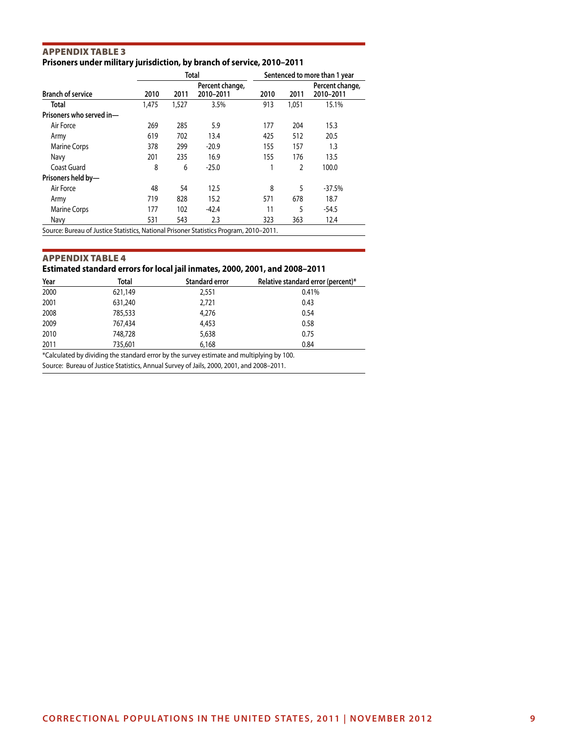#### Appendix Table 3 **Prisoners under military jurisdiction, by branch of service, 2010–2011**

|                                                                                        | <b>Total</b> |       |                              | Sentenced to more than 1 year |                |                              |
|----------------------------------------------------------------------------------------|--------------|-------|------------------------------|-------------------------------|----------------|------------------------------|
| <b>Branch of service</b>                                                               | 2010         | 2011  | Percent change,<br>2010-2011 | 2010                          | 2011           | Percent change,<br>2010-2011 |
| Total                                                                                  | 1,475        | 1,527 | 3.5%                         | 913                           | 1,051          | 15.1%                        |
| Prisoners who served in-                                                               |              |       |                              |                               |                |                              |
| Air Force                                                                              | 269          | 285   | 5.9                          | 177                           | 204            | 15.3                         |
| Army                                                                                   | 619          | 702   | 13.4                         | 425                           | 512            | 20.5                         |
| <b>Marine Corps</b>                                                                    | 378          | 299   | $-20.9$                      | 155                           | 157            | 1.3                          |
| Navy                                                                                   | 201          | 235   | 16.9                         | 155                           | 176            | 13.5                         |
| Coast Guard                                                                            | 8            | 6     | $-25.0$                      |                               | $\overline{2}$ | 100.0                        |
| Prisoners held by-                                                                     |              |       |                              |                               |                |                              |
| Air Force                                                                              | 48           | 54    | 12.5                         | 8                             | 5              | $-37.5%$                     |
| Army                                                                                   | 719          | 828   | 15.2                         | 571                           | 678            | 18.7                         |
| <b>Marine Corps</b>                                                                    | 177          | 102   | $-42.4$                      | 11                            | 5              | $-54.5$                      |
| Navy                                                                                   | 531          | 543   | 2.3                          | 323                           | 363            | 12.4                         |
| Source: Bureau of Justice Statistics, National Prisoner Statistics Program, 2010-2011. |              |       |                              |                               |                |                              |

#### Appendix Table 4

#### **Estimated standard errors for local jail inmates, 2000, 2001, and 2008–2011**

| Year | Total   | <b>Standard error</b> | Relative standard error (percent)* |
|------|---------|-----------------------|------------------------------------|
| 2000 | 621,149 | 2,551                 | 0.41%                              |
| 2001 | 631,240 | 2,721                 | 0.43                               |
| 2008 | 785,533 | 4.276                 | 0.54                               |
| 2009 | 767,434 | 4.453                 | 0.58                               |
| 2010 | 748.728 | 5,638                 | 0.75                               |
| 2011 | 735,601 | 6,168                 | 0.84                               |

\*Calculated by dividing the standard error by the survey estimate and multiplying by 100.

Source: Bureau of Justice Statistics, Annual Survey of Jails, 2000, 2001, and 2008–2011.